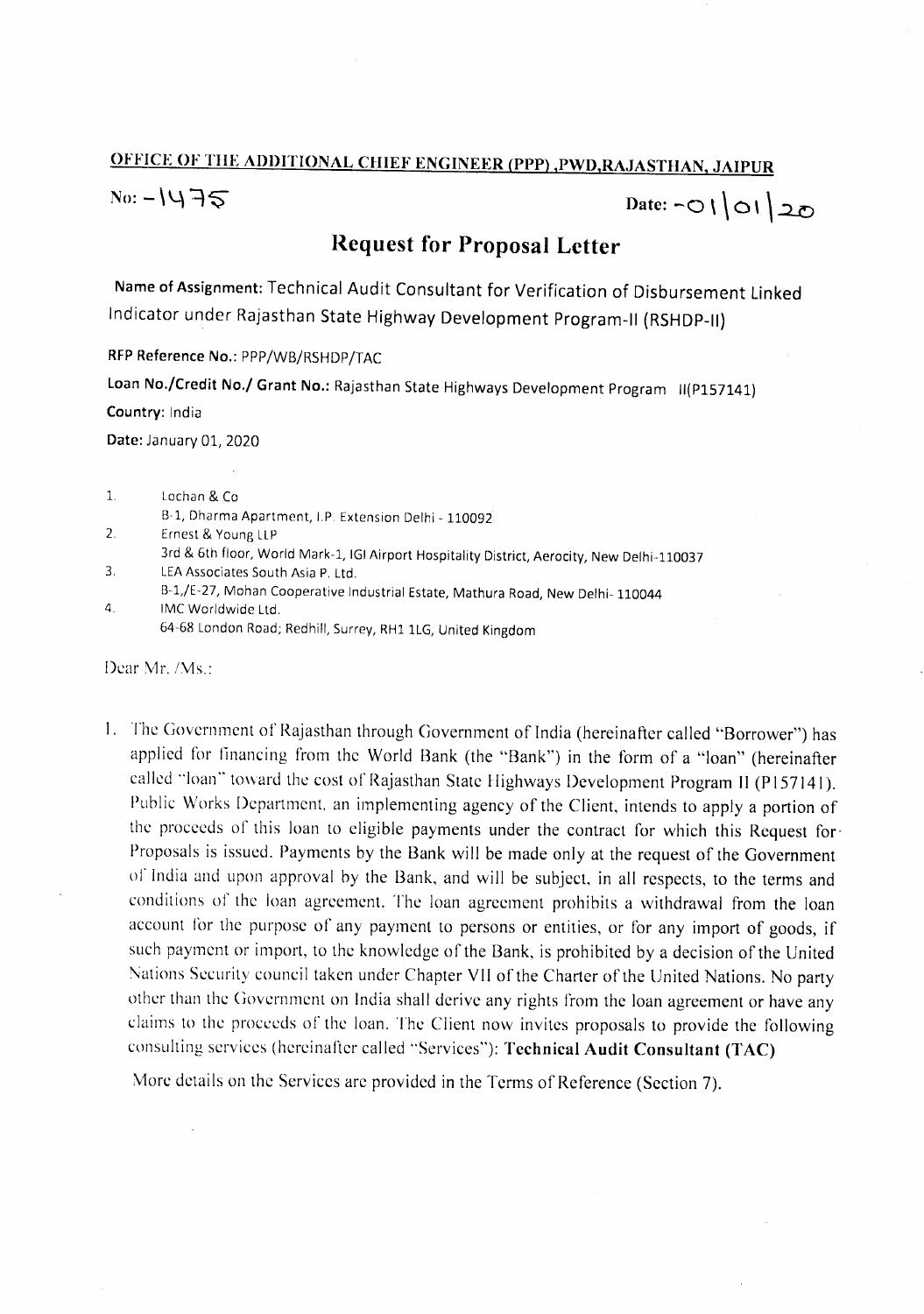## OFFICE OF TIlE ADDITIONAL CHIEF ENGINEER (PPP) ,PWD,RAJASTHAN, JAIPUR

 $N_0: -1475$  Date: -010120

## Request **for Proposal** Letter

Name of Assignment: Technical Audit Consultant for Verification of Disbursement Linked Indicator under Rajasthan State Highway Development Program-II (RSHDP-II)

RFP Reference No.: PPP/WB/RSHDP/TAC Loan No./Credit No./ Grant No.: Rajasthan State Highways Development Program II(P157141) Country: India

Date: January 01, 2020

| 1. | Lochan & Col                                                                                |
|----|---------------------------------------------------------------------------------------------|
|    | B-1, Dharma Apartment, I.P. Extension Delhi - 110092                                        |
| 2. | Ernest & Young LLP                                                                          |
|    | 3rd & 6th floor, World Mark-1, IGI Airport Hospitality District, Aerocity, New Delhi-110037 |
| 3. | LEA Associates South Asia P. Ltd.                                                           |
|    | B-1,/E-27, Mohan Cooperative Industrial Estate, Mathura Road, New Delhi-110044              |
|    | $10.4C$ $181$ coldinated $1.6d$                                                             |

4. IMC Worldwide Ltd. 64-68 London Road; Redhill, Surrey, RH1 1LG, United Kingdom

Dear Mr. *IMs.:*

I. The Government of Rajasthan through Government of India (hereinafter called "Borrower") has applied for financing from the World Bank (the "Bank") in the form of a "loan" (hereinafter called "loan" toward the cost of Rajasthan State Highways Development Program II (P157141). Public Works Department, an implementing agency of the Client, intends to apply a portion of the proceeds of this loan to eligible payments under the contract for which this Request for-Proposals is issued. Payments by the Bank will be made only at the request of the Government of India and upon approval by the Bank, and will be subject. in all respects, to the terms and conditions of the loan agreement. The loan agreement prohibits a withdrawal from the loan account for the purpose of any payment to persons or entities, or for any import of goods, if such payment or import, to the knowledge of the Bank, is prohibited by a decision of the United Nations Security council taken under Chapter VII of the Charter of the United Nations. No party other than the Government on India shall derive any rights from the loan agreement or have any claims to the proceeds of the loan. The Client now invites proposals to provide the following consulting services (hereinafter called "Services"): Technical Audit Consultant (TAC)

More details on the Services are provided in the Terms of Reference (Section 7).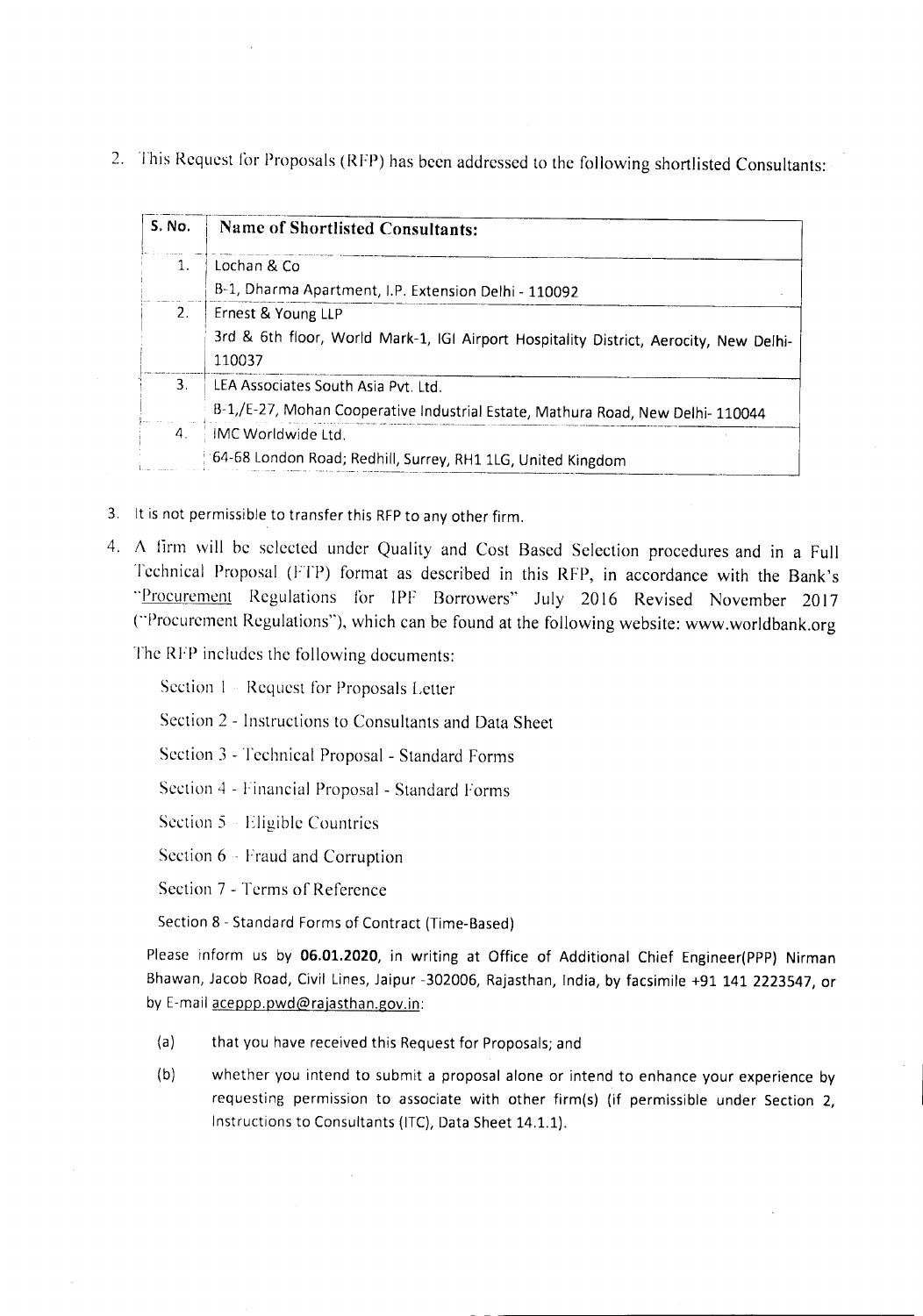2. This Request for Proposals (RFP) has been addressed to the following shortlisted Consultants:

| S. No.                | Name of Shortlisted Consultants:                                                      |
|-----------------------|---------------------------------------------------------------------------------------|
| $\mathbf{1}$ .        | Lochan & Co                                                                           |
|                       | B-1, Dharma Apartment, I.P. Extension Delhi - 110092                                  |
| 2 <sub>1</sub>        | Ernest & Young LLP                                                                    |
|                       | 3rd & 6th floor, World Mark-1, IGI Airport Hospitality District, Aerocity, New Delhi- |
|                       | 110037                                                                                |
| 3.                    | LEA Associates South Asia Pvt. Ltd.                                                   |
|                       | B-1,/E-27, Mohan Cooperative Industrial Estate, Mathura Road, New Delhi-110044        |
| $\mathcal{A}_{\cdot}$ | IMC Worldwide Ltd.                                                                    |
|                       | 64-68 London Road; Redhill, Surrey, RH1 1LG, United Kingdom                           |

- 3. It is not permissible to transfer this RFP to any other firm.
- 4. A firm will be selected under Quality and Cost Based Selection procedures and in a Full Technical Proposal (FTP) format as described in this RFP, in accordance with the Bank's "Procurement Regulations for IPF Borrowers" July 2016 Revised November 2017 ("Procurement Regulations"), which can be found at the following website: www.worldbank.org

The RFP includes the following documents:

Section 1 - Request for Proposals Letter

Section 2 - Instructions to Consultants and Data Sheet

Section 3 - Technical Proposal - Standard Forms

Section 4 - Financial Proposal - Standard Forms

Section 5 Eligible Countries

Section 6 - Fraud and Corruption

Section 7 - Terms of Reference

Section 8 - Standard Forms of Contract (Time-Based)

Please inform us by 06.01.2020, in writing at Office of Additional Chief Engineer(PPP) Nirman Bhawan, Jacob Road, Civil Lines, Jaipur -302006, Rajasthan, India, by facsimile +91 141 2223547, or by E-mail aceppp.pwd@rajasthan.gov.in:

- (a) that you have received this Request for Proposals; and
- (b) whether you intend to submit a proposal alone or intend to enhance your experience by requesting permission to associate with other firm(s) (if permissible under Section 2, Instructions to Consultants (lTC), Data Sheet 14.1.1).